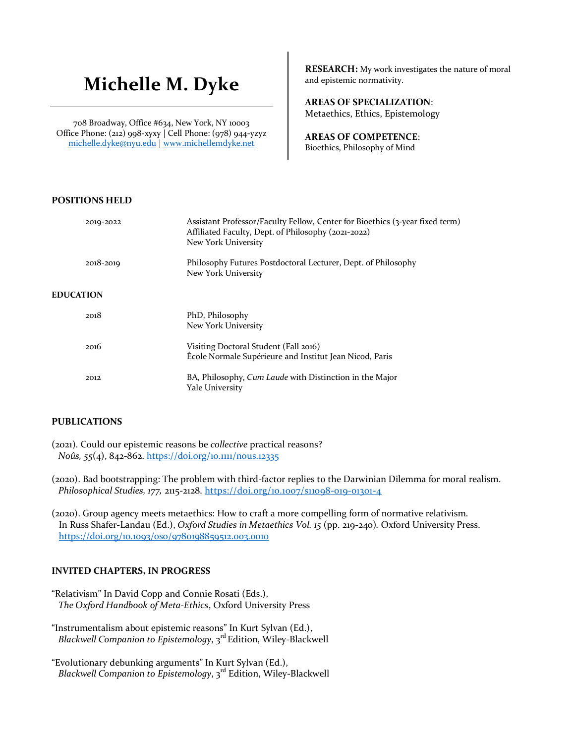# **Michelle M. Dyke**

708 Broadway, Office #634, New York, NY 10003 Office Phone: (212) 998-xyxy | Cell Phone: (978) 944-yzyz michelle.dyke@nyu.edu | www.michellemdyke.net

**RESEARCH:** My work investigates the nature of moral and epistemic normativity.

**AREAS OF SPECIALIZATION**: Metaethics, Ethics, Epistemology

**AREAS OF COMPETENCE**: Bioethics, Philosophy of Mind

# **POSITIONS HELD**

| 2019-2022        | Assistant Professor/Faculty Fellow, Center for Bioethics (3-year fixed term)<br>Affiliated Faculty, Dept. of Philosophy (2021-2022)<br>New York University |
|------------------|------------------------------------------------------------------------------------------------------------------------------------------------------------|
| 2018-2019        | Philosophy Futures Postdoctoral Lecturer, Dept. of Philosophy<br>New York University                                                                       |
| <b>EDUCATION</b> |                                                                                                                                                            |
| 2018             | PhD, Philosophy<br>New York University                                                                                                                     |
| 2016             | Visiting Doctoral Student (Fall 2016)<br>École Normale Supérieure and Institut Jean Nicod, Paris                                                           |
| 2012             | BA, Philosophy, Cum Laude with Distinction in the Major<br>Yale University                                                                                 |

# **PUBLICATIONS**

(2021). Could our epistemic reasons be *collective* practical reasons?  *Noûs, 55*(4), 842-862. https://doi.org/10.1111/nous.12335

(2020). Bad bootstrapping: The problem with third-factor replies to the Darwinian Dilemma for moral realism.  *Philosophical Studies, 177,* 2115-2128. https://doi.org/10.1007/s11098-019-01301-4

(2020). Group agency meets metaethics: How to craft a more compelling form of normative relativism. In Russ Shafer-Landau (Ed.), *Oxford Studies in Metaethics Vol. 15* (pp. 219-240)*.* Oxford University Press. https://doi.org/10.1093/oso/9780198859512.003.0010

# **INVITED CHAPTERS, IN PROGRESS**

"Relativism" In David Copp and Connie Rosati (Eds.),  *The Oxford Handbook of Meta-Ethics*, Oxford University Press

"Instrumentalism about epistemic reasons" In Kurt Sylvan (Ed.), Blackwell Companion to Epistemology, 3<sup>rd</sup> Edition, Wiley-Blackwell

<sup>&</sup>quot;Evolutionary debunking arguments" In Kurt Sylvan (Ed.), Blackwell Companion to Epistemology, 3<sup>rd</sup> Edition, Wiley-Blackwell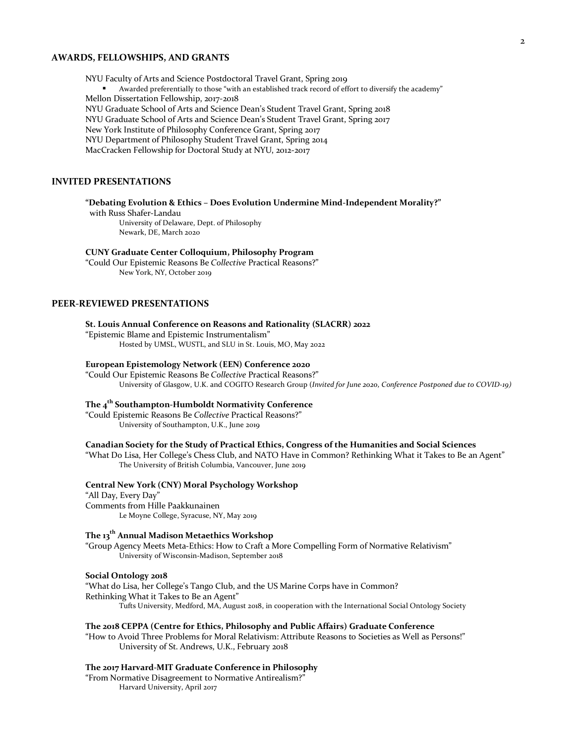## **AWARDS, FELLOWSHIPS, AND GRANTS**

NYU Faculty of Arts and Science Postdoctoral Travel Grant, Spring 2019 § Awarded preferentially to those "with an established track record of effort to diversify the academy" Mellon Dissertation Fellowship, 2017-2018 NYU Graduate School of Arts and Science Dean's Student Travel Grant, Spring 2018 NYU Graduate School of Arts and Science Dean's Student Travel Grant, Spring 2017 New York Institute of Philosophy Conference Grant, Spring 2017 NYU Department of Philosophy Student Travel Grant, Spring 2014 MacCracken Fellowship for Doctoral Study at NYU, 2012-2017

## **INVITED PRESENTATIONS**

#### **"Debating Evolution & Ethics – Does Evolution Undermine Mind-Independent Morality?"**

 with Russ Shafer-Landau University of Delaware, Dept. of Philosophy Newark, DE, March 2020

#### **CUNY Graduate Center Colloquium, Philosophy Program**

"Could Our Epistemic Reasons Be *Collective* Practical Reasons?" New York, NY, October 2019

## **PEER-REVIEWED PRESENTATIONS**

#### **St. Louis Annual Conference on Reasons and Rationality (SLACRR) 2022**

"Epistemic Blame and Epistemic Instrumentalism"

Hosted by UMSL, WUSTL, and SLU in St. Louis, MO, May 2022

#### **European Epistemology Network (EEN) Conference 2020**

"Could Our Epistemic Reasons Be *Collective* Practical Reasons?" University of Glasgow, U.K. and COGITO Research Group (*Invited for June 2020, Conference Postponed due to COVID-19)*

## **The 4th Southampton-Humboldt Normativity Conference**

"Could Epistemic Reasons Be *Collective* Practical Reasons?" University of Southampton, U.K., June 2019

#### **Canadian Society for the Study of Practical Ethics, Congress of the Humanities and Social Sciences**

"What Do Lisa, Her College's Chess Club, and NATO Have in Common? Rethinking What it Takes to Be an Agent" The University of British Columbia, Vancouver, June 2019

#### **Central New York (CNY) Moral Psychology Workshop**

"All Day, Every Day" Comments from Hille Paakkunainen Le Moyne College, Syracuse, NY, May 2019

## **The 13th Annual Madison Metaethics Workshop**

"Group Agency Meets Meta-Ethics: How to Craft a More Compelling Form of Normative Relativism" University of Wisconsin-Madison, September 2018

#### **Social Ontology 2018**

"What do Lisa, her College's Tango Club, and the US Marine Corps have in Common? Rethinking What it Takes to Be an Agent" Tufts University, Medford, MA, August 2018, in cooperation with the International Social Ontology Society

#### **The 2018 CEPPA (Centre for Ethics, Philosophy and Public Affairs) Graduate Conference**

"How to Avoid Three Problems for Moral Relativism: Attribute Reasons to Societies as Well as Persons!" University of St. Andrews, U.K., February 2018

#### **The 2017 Harvard-MIT Graduate Conference in Philosophy**

"From Normative Disagreement to Normative Antirealism?" Harvard University, April 2017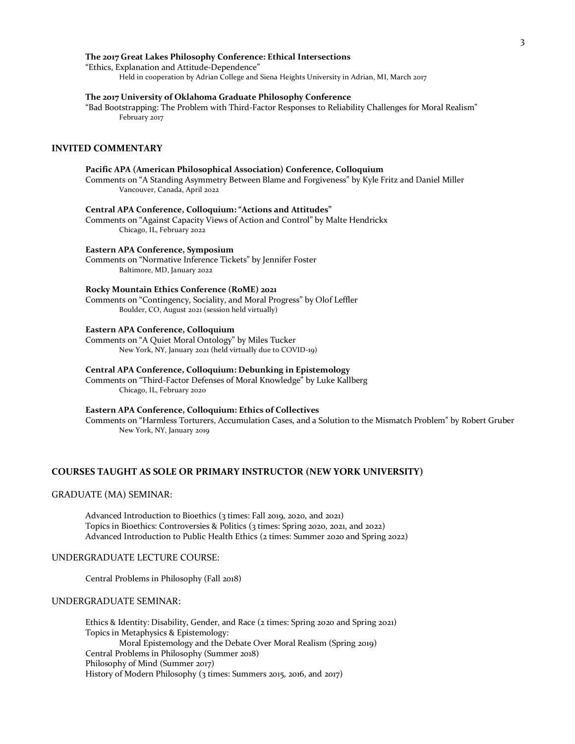#### **The 2017 Great Lakes Philosophy Conference: Ethical Intersections**

"Ethics, Explanation and Attitude-Dependence" Held in cooperation by Adrian College and Siena Heights University in Adrian, MI, March 2017

## **The 2017 University of Oklahoma Graduate Philosophy Conference**

"Bad Bootstrapping: The Problem with Third-Factor Responses to Reliability Challenges for Moral Realism" February 2017

#### **INVITED COMMENTARY**

## **Pacific APA (American Philosophical Association) Conference, Colloquium**

Comments on "A Standing Asymmetry Between Blame and Forgiveness" by Kyle Fritz and Daniel Miller Vancouver, Canada, April 2022

#### **Central APA Conference, Colloquium: "Actions and Attitudes"**

Comments on "Against Capacity Views of Action and Control" by Malte Hendrickx Chicago, IL, February 2022

## **Eastern APA Conference, Symposium**

Comments on "Normative Inference Tickets" by Jennifer Foster Baltimore, MD, January 2022

#### **Rocky Mountain Ethics Conference (RoME) 2021**

Comments on "Contingency, Sociality, and Moral Progress" by Olof Leffler Boulder, CO, August 2021 (session held virtually)

#### **Eastern APA Conference, Colloquium**

Comments on "A Quiet Moral Ontology" by Miles Tucker New York, NY, January 2021 (held virtually due to COVID-19)

#### **Central APA Conference, Colloquium: Debunking in Epistemology**

Comments on "Third-Factor Defenses of Moral Knowledge" by Luke Kallberg Chicago, IL, February 2020

#### **Eastern APA Conference, Colloquium: Ethics of Collectives**

Comments on "Harmless Torturers, Accumulation Cases, and a Solution to the Mismatch Problem" by Robert Gruber New York, NY, January 2019

## **COURSES TAUGHT AS SOLE OR PRIMARY INSTRUCTOR (NEW YORK UNIVERSITY)**

## GRADUATE (MA) SEMINAR:

Advanced Introduction to Bioethics (3 times: Fall 2019, 2020, and 2021) Topics in Bioethics: Controversies & Politics (3 times: Spring 2020, 2021, and 2022) Advanced Introduction to Public Health Ethics (2 times: Summer 2020 and Spring 2022)

## UNDERGRADUATE LECTURE COURSE:

Central Problems in Philosophy (Fall 2018)

#### UNDERGRADUATE SEMINAR:

Ethics & Identity: Disability, Gender, and Race (2 times: Spring 2020 and Spring 2021) Topics in Metaphysics & Epistemology: Moral Epistemology and the Debate Over Moral Realism (Spring 2019) Central Problems in Philosophy (Summer 2018) Philosophy of Mind (Summer 2017) History of Modern Philosophy (3 times: Summers 2015, 2016, and 2017)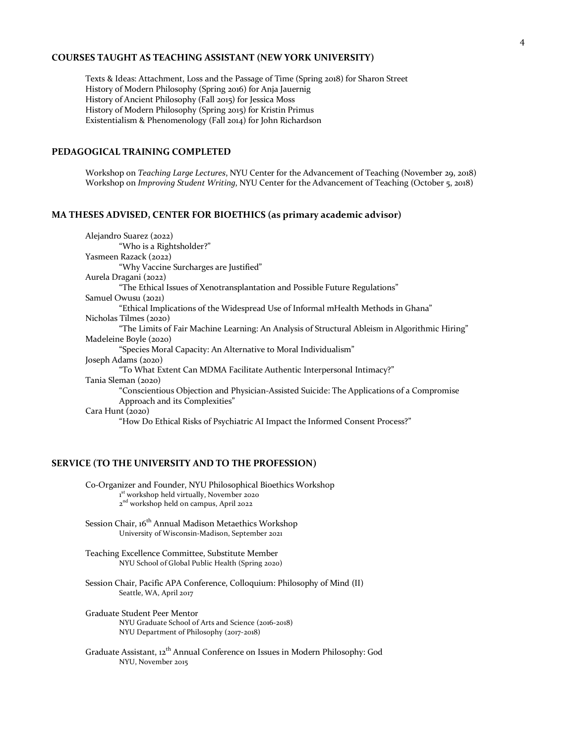## **COURSES TAUGHT AS TEACHING ASSISTANT (NEW YORK UNIVERSITY)**

Texts & Ideas: Attachment, Loss and the Passage of Time (Spring 2018) for Sharon Street History of Modern Philosophy (Spring 2016) for Anja Jauernig History of Ancient Philosophy (Fall 2015) for Jessica Moss History of Modern Philosophy (Spring 2015) for Kristin Primus Existentialism & Phenomenology (Fall 2014) for John Richardson

## **PEDAGOGICAL TRAINING COMPLETED**

Workshop on *Teaching Large Lectures*, NYU Center for the Advancement of Teaching (November 29, 2018) Workshop on *Improving Student Writing*, NYU Center for the Advancement of Teaching (October 5, 2018)

## **MA THESES ADVISED, CENTER FOR BIOETHICS (as primary academic advisor)**

Alejandro Suarez (2022) "Who is a Rightsholder?" Yasmeen Razack (2022) "Why Vaccine Surcharges are Justified" Aurela Dragani (2022) "The Ethical Issues of Xenotransplantation and Possible Future Regulations" Samuel Owusu (2021) "Ethical Implications of the Widespread Use of Informal mHealth Methods in Ghana" Nicholas Tilmes (2020) "The Limits of Fair Machine Learning: An Analysis of Structural Ableism in Algorithmic Hiring" Madeleine Boyle (2020) "Species Moral Capacity: An Alternative to Moral Individualism" Joseph Adams (2020) "To What Extent Can MDMA Facilitate Authentic Interpersonal Intimacy?" Tania Sleman (2020) "Conscientious Objection and Physician-Assisted Suicide: The Applications of a Compromise Approach and its Complexities" Cara Hunt (2020) "How Do Ethical Risks of Psychiatric AI Impact the Informed Consent Process?"

## **SERVICE (TO THE UNIVERSITY AND TO THE PROFESSION)**

Co-Organizer and Founder, NYU Philosophical Bioethics Workshop 1<sup>st</sup> workshop held virtually, November 2020 2<sup>nd</sup> workshop held on campus, April 2022

- Session Chair,  $16^{th}$  Annual Madison Metaethics Workshop University of Wisconsin-Madison, September 2021
- Teaching Excellence Committee, Substitute Member NYU School of Global Public Health (Spring 2020)
- Session Chair, Pacific APA Conference, Colloquium: Philosophy of Mind (II) Seattle, WA, April 2017
- Graduate Student Peer Mentor NYU Graduate School of Arts and Science (2016-2018) NYU Department of Philosophy (2017-2018)
- Graduate Assistant, 12<sup>th</sup> Annual Conference on Issues in Modern Philosophy: God NYU, November 2015